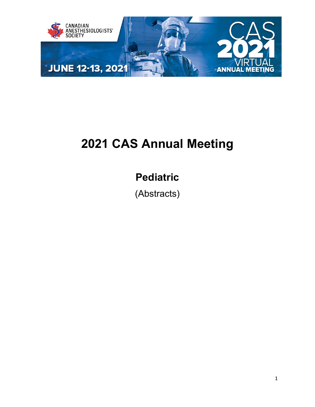

# **2021 CAS Annual Meeting**

## **Pediatric**

(Abstracts)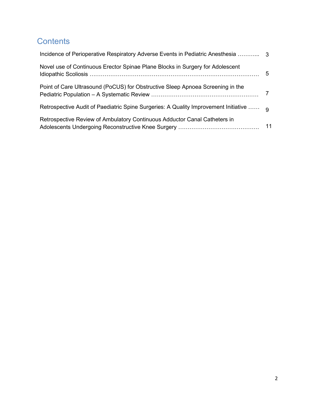### **Contents**

| Novel use of Continuous Erector Spinae Plane Blocks in Surgery for Adolescent          | 5 |
|----------------------------------------------------------------------------------------|---|
| Point of Care Ultrasound (PoCUS) for Obstructive Sleep Apnoea Screening in the         |   |
| Retrospective Audit of Paediatric Spine Surgeries: A Quality Improvement Initiative  9 |   |
| Retrospective Review of Ambulatory Continuous Adductor Canal Catheters in              |   |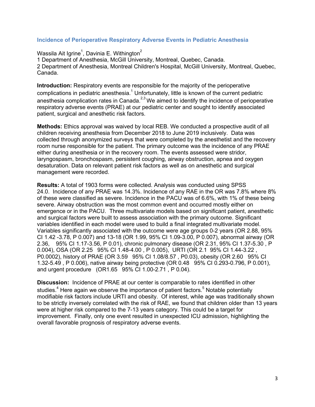#### <span id="page-2-0"></span>**Incidence of Perioperative Respiratory Adverse Events in Pediatric Anesthesia**

Wassila Ait Igrine $^1$ , Davinia E. Withington $^2$ 

1 Department of Anesthesia, McGill University, Montreal, Quebec, Canada. 2 Department of Anesthesia, Montreal Children's Hospital, McGill University, Montreal, Quebec, Canada.

**Introduction:** Respiratory events are responsible for the majority of the perioperative complications in pediatric anesthesia.<sup>1</sup> Unfortunately, little is known of the current pediatric anesthesia complication rates in Canada. $^{2,3}$  We aimed to identify the incidence of perioperative respiratory adverse events (PRAE) at our pediatric center and sought to identify associated patient, surgical and anesthetic risk factors.

**Methods:** Ethics approval was waived by local REB. We conducted a prospective audit of all children receiving anesthesia from December 2018 to June 2019 inclusively. Data was collected through anonymized surveys that were completed by the anesthetist and the recovery room nurse responsible for the patient. The primary outcome was the incidence of any PRAE either during anesthesia or in the recovery room. The events assessed were stridor, laryngospasm, bronchospasm, persistent coughing, airway obstruction, apnea and oxygen desaturation. Data on relevant patient risk factors as well as on anesthetic and surgical management were recorded.

**Results:** A total of 1903 forms were collected. Analysis was conducted using SPSS 24.0. Incidence of any PRAE was 14.3%. Incidence of any RAE in the OR was 7.8% where 8% of these were classified as severe. Incidence in the PACU was of 6.6%, with 1% of these being severe. Airway obstruction was the most common event and occurred mostly either on emergence or in the PACU. Three multivariate models based on significant patient, anesthetic and surgical factors were built to assess association with the primary outcome. Significant variables identified in each model were used to build a final integrated multivariate model. Variables significantly associated with the outcome were age groups 0-2 years (OR 2.88, 95% CI 1.42 -3.78, P 0.007) and 13-18 (OR 1.99, 95% CI 1.09-3.00, P 0.007), abnormal airway (OR 2.36, 95% CI 1.17-3.56, P 0.01), chronic pulmonary disease (OR 2.31, 95% CI 1.37-5.30 , P 0.004), OSA (OR 2.25 95% CI 1.48-4.00 , P 0.005), URTI (OR 2.1 95% CI 1.44-3.22 , P0.0002), history of PRAE (OR 3.59 95% CI 1.08/8.57 , P0.03), obesity (OR 2.60 95% CI 1.32-5.49 , P 0.006), native airway being protective (OR 0.48 95% CI 0.293-0.796, P 0.001), and urgent procedure (OR1.65 95% CI 1.00-2.71 , P 0.04).

**Discussion:** Incidence of PRAE at our center is comparable to rates identified in other studies. $4$  Here again we observe the importance of patient factors.<sup>5</sup> Notable potentially modifiable risk factors include URTI and obesity. Of interest, while age was traditionally shown to be strictly inversely correlated with the risk of RAE, we found that children older than 13 years were at higher risk compared to the 7-13 years category. This could be a target for improvement. Finally, only one event resulted in unexpected ICU admission, highlighting the overall favorable prognosis of respiratory adverse events.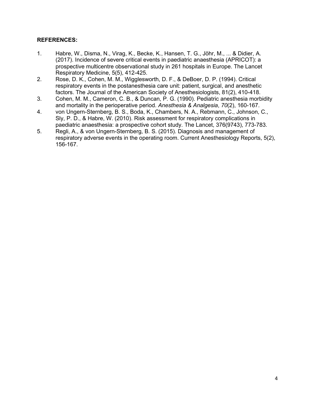- 1. Habre, W., Disma, N., Virag, K., Becke, K., Hansen, T. G., Jöhr, M., ... & Didier, A. (2017). Incidence of severe critical events in paediatric anaesthesia (APRICOT): a prospective multicentre observational study in 261 hospitals in Europe. The Lancet Respiratory Medicine, 5(5), 412-425.
- 2. Rose, D. K., Cohen, M. M., Wigglesworth, D. F., & DeBoer, D. P. (1994). Critical respiratory events in the postanesthesia care unit: patient, surgical, and anesthetic factors. The Journal of the American Society of Anesthesiologists, 81(2), 410-418.
- 3. Cohen, M. M., Cameron, C. B., & Duncan, P. G. (1990). Pediatric anesthesia morbidity and mortality in the perioperative period. *Anesthesia & Analgesia*, *70*(2), 160-167.
- 4. von Ungern-Sternberg, B. S., Boda, K., Chambers, N. A., Rebmann, C., Johnson, C., Sly, P. D., & Habre, W. (2010). Risk assessment for respiratory complications in paediatric anaesthesia: a prospective cohort study. The Lancet, 376(9743), 773-783.
- 5. Regli, A., & von Ungern-Sternberg, B. S. (2015). Diagnosis and management of respiratory adverse events in the operating room. Current Anesthesiology Reports, 5(2), 156-167.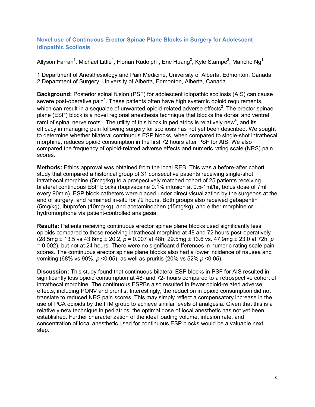#### <span id="page-4-0"></span>**Novel use of Continuous Erector Spinae Plane Blocks in Surgery for Adolescent Idiopathic Scoliosis**

Allyson Farran $^1$ , Michael Little $^1$ , Florian Rudolph $^1$ , Eric Huang $^2$ , Kyle Stampe $^2$ , Mancho Ng $^1$ 

1 Department of Anesthesiology and Pain Medicine, University of Alberta, Edmonton, Canada. 2 Department of Surgery, University of Alberta, Edmonton, Alberta, Canada.

**Background:** Posterior spinal fusion (PSF) for adolescent idiopathic scoliosis (AIS) can cause severe post-operative pain $^{\mathsf{1}}$ . These patients often have high systemic opioid requirements, which can result in a sequalae of unwanted opioid-related adverse effects $^2$ . The erector spinae plane (ESP) block is a novel regional anesthesia technique that blocks the dorsal and ventral rami of spinal nerve roots $^3$ . The utility of this block in pediatrics is relatively new $^4$ , and its efficacy in managing pain following surgery for scoliosis has not yet been described. We sought to determine whether bilateral continuous ESP blocks, when compared to single-shot intrathecal morphine, reduces opioid consumption in the first 72 hours after PSF for AIS. We also compared the frequency of opioid-related adverse effects and numeric rating scale (NRS) pain scores.

**Methods:** Ethics approval was obtained from the local REB. This was a before-after cohort study that compared a historical group of 31 consecutive patients receiving single-shot intrathecal morphine (5mcg/kg) to a prospectively matched cohort of 25 patients receiving bilateral continuous ESP blocks (bupivacaine 0.1% infusion at 0.5-1ml/hr, bolus dose of 7ml every 90min). ESP block catheters were placed under direct visualization by the surgeons at the end of surgery, and remained in-situ for 72 hours. Both groups also received gabapentin (5mg/kg), ibuprofen (10mg/kg), and acetaminophen (15mg/kg), and either morphine or hydromorphone via patient-controlled analgesia.

**Results:** Patients receiving continuous erector spinae plane blocks used significantly less opioids compared to those receiving intrathecal morphine at 48 and 72 hours post-operatively (28.5mg ± 13.5 vs 43.6mg ± 20.2, *p* = 0.007 at 48h; 29.5mg ± 13.6 vs. 47.9mg ± 23.0 at 72h, *p* = 0.002), but not at 24 hours. There were no significant differences in numeric rating scale pain scores. The continuous erector spinae plane blocks also had a lower incidence of nausea and vomiting (68% vs 90%, *p* <0.05), as well as pruritis (20% vs 52% *p* <0.05).

**Discussion:** This study found that continuous bilateral ESP blocks in PSF for AIS resulted in significantly less opioid consumption at 48- and 72- hours compared to a retrospective cohort of intrathecal morphine. The continuous ESPBs also resulted in fewer opioid-related adverse effects, including PONV and pruritis. Interestingly, the reduction in opioid consumption did not translate to reduced NRS pain scores. This may simply reflect a compensatory increase in the use of PCA opioids by the ITM group to achieve similar levels of analgesia. Given that this is a relatively new technique in pediatrics, the optimal dose of local anesthetic has not yet been established. Further characterization of the ideal loading volume, infusion rate, and concentration of local anesthetic used for continuous ESP blocks would be a valuable next step.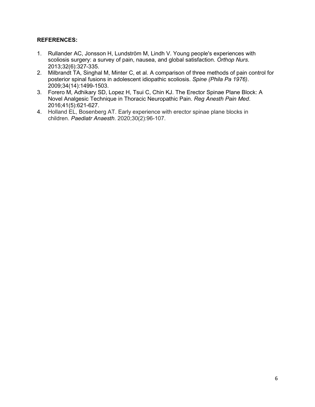- 1. Rullander AC, Jonsson H, Lundström M, Lindh V. Young people's experiences with scoliosis surgery: a survey of pain, nausea, and global satisfaction. *Orthop Nurs*. 2013;32(6):327-335.
- 2. Milbrandt TA, Singhal M, Minter C, et al. A comparison of three methods of pain control for posterior spinal fusions in adolescent idiopathic scoliosis. *Spine (Phila Pa 1976)*. 2009;34(14):1499-1503.
- 3. Forero M, Adhikary SD, Lopez H, Tsui C, Chin KJ. The Erector Spinae Plane Block: A Novel Analgesic Technique in Thoracic Neuropathic Pain. *Reg Anesth Pain Med*. 2016;41(5):621-627.
- 4. Holland EL, Bosenberg AT. Early experience with erector spinae plane blocks in children. *Paediatr Anaesth*. 2020;30(2):96-107.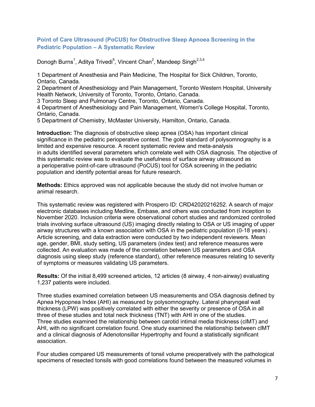#### <span id="page-6-0"></span>**Point of Care Ultrasound (PoCUS) for Obstructive Sleep Apnoea Screening in the Pediatric Population – A Systematic Review**

Donogh Burns<sup>1</sup>, Aditya Trivedi<sup>5</sup>, Vincent Chan<sup>2</sup>, Mandeep Singh<sup>2,3,4</sup>

1 Department of Anesthesia and Pain Medicine, The Hospital for Sick Children, Toronto, Ontario, Canada.

2 Department of Anesthesiology and Pain Management, Toronto Western Hospital, University Health Network, University of Toronto, Toronto, Ontario, Canada.

3 Toronto Sleep and Pulmonary Centre, Toronto, Ontario, Canada.

4 Department of Anesthesiology and Pain Management, Women's College Hospital, Toronto, Ontario, Canada.

5 Department of Chemistry, McMaster University, Hamilton, Ontario, Canada.

**Introduction:** The diagnosis of obstructive sleep apnea (OSA) has important clinical significance in the pediatric perioperative context. The gold standard of polysomnography is a limited and expensive resource. A recent systematic review and meta-analysis in adults identified several parameters which correlate well with OSA diagnosis. The objective of this systematic review was to evaluate the usefulness of surface airway ultrasound as a perioperative point-of-care ultrasound (PoCUS) tool for OSA screening in the pediatric population and identify potential areas for future research.

**Methods:** Ethics approved was not applicable because the study did not involve human or animal research.

This systematic review was registered with Prospero ID: CRD42020216252. A search of major electronic databases including Medline, Embase, and others was conducted from inception to November 2020. Inclusion criteria were observational cohort studies and randomized controlled trials involving surface ultrasound (US) imaging directly relating to OSA or US imaging of upper airway structures with a known association with OSA in the pediatric population (0-18 years) . Article screening, and data extraction were conducted by two independent reviewers. Mean age, gender, BMI, study setting, US parameters (index test) and reference measures were collected. An evaluation was made of the correlation between US parameters and OSA diagnosis using sleep study (reference standard), other reference measures relating to severity of symptoms or measures validating US parameters.

**Results:** Of the initial 8,499 screened articles, 12 articles (8 airway, 4 non-airway) evaluating 1,237 patients were included.

Three studies examined correlation between US measurements and OSA diagnosis defined by Apnea Hypopnea Index (AHI) as measured by polysomnography. Lateral pharyngeal wall thickness (LPW) was positively correlated with either the severity or presence of OSA in all three of these studies and total neck thickness (TNT) with AHI in one of the studies. Three studies examined the relationship between carotid intimal media thickness (cIMT) and AHI, with no significant correlation found. One study examined the relationship between cIMT and a clinical diagnosis of Adenotonsillar Hypertrophy and found a statistically significant association.

Four studies compared US measurements of tonsil volume preoperatively with the pathological specimens of resected tonsils with good correlations found between the measured volumes in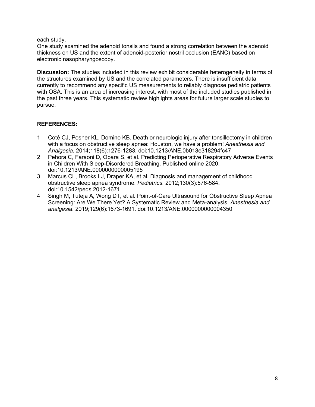each study.

One study examined the adenoid tonsils and found a strong correlation between the adenoid thickness on US and the extent of adenoid-posterior nostril occlusion (EANC) based on electronic nasopharyngoscopy.

**Discussion:** The studies included in this review exhibit considerable heterogeneity in terms of the structures examined by US and the correlated parameters. There is insufficient data currently to recommend any specific US measurements to reliably diagnose pediatric patients with OSA. This is an area of increasing interest, with most of the included studies published in the past three years. This systematic review highlights areas for future larger scale studies to pursue.

- 1 Coté CJ, Posner KL, Domino KB. Death or neurologic injury after tonsillectomy in children with a focus on obstructive sleep apnea: Houston, we have a problem! *Anesthesia and Analgesia*. 2014;118(6):1276-1283. doi:10.1213/ANE.0b013e318294fc47
- 2 Pehora C, Faraoni D, Obara S, et al. Predicting Perioperative Respiratory Adverse Events in Children With Sleep-Disordered Breathing. Published online 2020. doi:10.1213/ANE.0000000000005195
- 3 Marcus CL, Brooks LJ, Draper KA, et al. Diagnosis and management of childhood obstructive sleep apnea syndrome. *Pediatrics*. 2012;130(3):576-584. doi:10.1542/peds.2012-1671
- 4 Singh M, Tuteja A, Wong DT, et al. Point-of-Care Ultrasound for Obstructive Sleep Apnea Screening: Are We There Yet? A Systematic Review and Meta-analysis. *Anesthesia and analgesia*. 2019;129(6):1673-1691. doi:10.1213/ANE.0000000000004350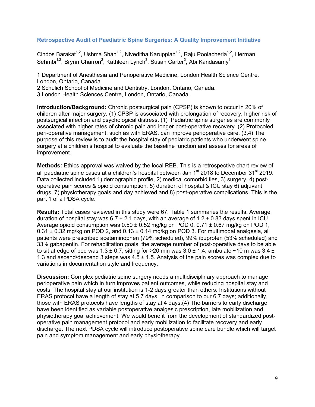#### <span id="page-8-0"></span>**Retrospective Audit of Paediatric Spine Surgeries: A Quality Improvement Initiative**

Cindos Barakat<sup>1,2</sup>, Ushma Shah<sup>1,2</sup>, Niveditha Karuppiah<sup>1,2</sup>, Raju Poolacherla<sup>1,2</sup>, Herman Sehmbi $^{\rm 1,2}$ , Brynn Charron $^{\rm 2}$ , Kathleen Lynch $^{\rm 3}$ , Susan Carter $^{\rm 3}$ , Abi Kandasamy $^{\rm 3}$ 

1 Department of Anesthesia and Perioperative Medicine, London Health Science Centre, London, Ontario, Canada.

2 Schulich School of Medicine and Dentistry, London, Ontario, Canada.

3 London Health Sciences Centre, London, Ontario, Canada.

**Introduction/Background:** Chronic postsurgical pain (CPSP) is known to occur in 20% of children after major surgery. (1) CPSP is associated with prolongation of recovery, higher risk of postsurgical infection and psychological distress. (1) Pediatric spine surgeries are commonly associated with higher rates of chronic pain and longer post-operative recovery. (2) Protocoled peri-operative management, such as with ERAS, can improve perioperative care. (3,4) The purpose of this review is to audit the hospital stay of pediatric patients who underwent spine surgery at a children's hospital to evaluate the baseline function and assess for areas of improvement.

**Methods:** Ethics approval was waived by the local REB. This is a retrospective chart review of all paediatric spine cases at a children's hospital between Jan  $1<sup>st</sup>$  2018 to December 31 $<sup>st</sup>$  2019.</sup> Data collected included 1) demographic profile, 2) medical comorbidities, 3) surgery, 4) postoperative pain scores & opioid consumption, 5) duration of hospital & ICU stay 6) adjuvant drugs, 7) physiotherapy goals and day achieved and 8) post-operative complications. This is the part 1 of a PDSA cycle.

**Results:** Total cases reviewed in this study were 67. Table 1 summaries the results. Average duration of hospital stay was  $6.7 \pm 2.1$  days, with an average of 1.2  $\pm$  0.83 days spent in ICU. Average opioid consumption was  $0.50 \pm 0.52$  mg/kg on POD 0,  $0.71 \pm 0.67$  mg/kg on POD 1,  $0.31 \pm 0.32$  mg/kg on POD 2, and  $0.13 \pm 0.14$  mg/kg on POD 3. For multimodal analgesia, all patients were prescribed acetaminophen (79% scheduled), 99% ibuprofen (53% scheduled) and 33% gabapentin. For rehabilitation goals, the average number of post-operative days to be able to sit at edge of bed was  $1.3 \pm 0.7$ , sitting for >20 min was  $3.0 \pm 1.4$ , ambulate ~10 m was  $3.4 \pm$ 1.3 and ascend/descend 3 steps was  $4.5 \pm 1.5$ . Analysis of the pain scores was complex due to variations in documentation style and frequency.

**Discussion:** Complex pediatric spine surgery needs a multidisciplinary approach to manage perioperative pain which in turn improves patient outcomes, while reducing hospital stay and costs. The hospital stay at our institution is 1-2 days greater than others. Institutions without ERAS protocol have a length of stay at 5.7 days, in comparison to our 6.7 days; additionally, those with ERAS protocols have lengths of stay at 4 days.(4) The barriers to early discharge have been identified as variable postoperative analgesic prescription, late mobilization and physiotherapy goal achievement. We would benefit from the development of standardized postoperative pain management protocol and early mobilization to facilitate recovery and early discharge. The next PDSA cycle will introduce postoperative spine care bundle which will target pain and symptom management and early physiotherapy.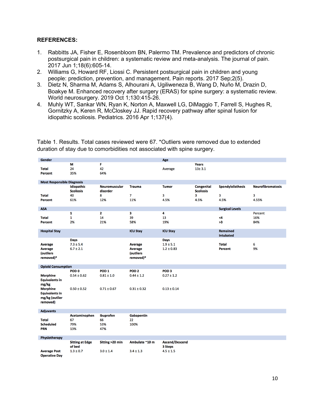- 1. Rabbitts JA, Fisher E, Rosenbloom BN, Palermo TM. Prevalence and predictors of chronic postsurgical pain in children: a systematic review and meta-analysis. The journal of pain. 2017 Jun 1;18(6):605-14.
- 2. Williams G, Howard RF, Liossi C. Persistent postsurgical pain in children and young people: prediction, prevention, and management. Pain reports. 2017 Sep;2(5).
- 3. Dietz N, Sharma M, Adams S, Alhourani A, Ugiliweneza B, Wang D, Nuño M, Drazin D, Boakye M. Enhanced recovery after surgery (ERAS) for spine surgery: a systematic review. World neurosurgery. 2019 Oct 1;130:415-26.
- 4. Muhly WT, Sankar WN, Ryan K, Norton A, Maxwell LG, DiMaggio T, Farrell S, Hughes R, Gornitzky A, Keren R, McCloskey JJ. Rapid recovery pathway after spinal fusion for idiopathic scoliosis. Pediatrics. 2016 Apr 1;137(4).

| <b>Gender</b>                     |                        |                      |                  | Age                   |                  |                          |                          |  |  |
|-----------------------------------|------------------------|----------------------|------------------|-----------------------|------------------|--------------------------|--------------------------|--|--|
|                                   | M                      | F.                   |                  |                       | <b>Years</b>     |                          |                          |  |  |
| <b>Total</b>                      | 24                     | 42                   |                  | Average               | 13±3.1           |                          |                          |  |  |
| <b>Percent</b>                    | 35%                    | 64%                  |                  |                       |                  |                          |                          |  |  |
|                                   |                        |                      |                  |                       |                  |                          |                          |  |  |
| <b>Most Responsible Diagnosis</b> |                        |                      |                  |                       |                  |                          |                          |  |  |
|                                   | Idiopathic             | <b>Neuromuscular</b> | <b>Trauma</b>    | <b>Tumor</b>          | Congenital       | <b>Spondylolisthesis</b> | <b>Neurofibromatosis</b> |  |  |
|                                   | <b>Scoliosis</b>       | disorder             |                  |                       | <b>Scoliosis</b> |                          |                          |  |  |
| <b>Total</b>                      | 40                     | 8                    | 7                | 3                     | 3                | 3                        | 3                        |  |  |
| <b>Percent</b>                    | 61%                    | 12%                  | 11%              | 4.5%                  | 4.5%             | 4.5%                     | 4.55%                    |  |  |
| <b>ASA</b>                        |                        |                      |                  |                       |                  | <b>Surgical Levels</b>   |                          |  |  |
|                                   | 1                      | $\mathbf{z}$         | 3                | 4                     |                  |                          | Percent                  |  |  |
| <b>Total</b>                      | $\mathbf{1}$           | 14                   | 39               | 13                    |                  | <4                       | 16%                      |  |  |
| <b>Percent</b>                    | 2%                     | 21%                  | 58%              | 19%                   |                  | >3                       | 84%                      |  |  |
|                                   |                        |                      |                  |                       |                  |                          |                          |  |  |
| <b>Hospital Stay</b>              |                        |                      | <b>ICU Stay</b>  | <b>ICU Stay</b>       |                  | <b>Remained</b>          |                          |  |  |
|                                   |                        |                      |                  |                       |                  | <b>Intubated</b>         |                          |  |  |
|                                   | <b>Days</b>            |                      |                  | <b>Days</b>           |                  |                          |                          |  |  |
| <b>Average</b>                    | $7.3 \pm 5.4$          |                      | Average          | $1.9 \pm 5.1$         |                  | <b>Total</b>             | 6                        |  |  |
| <b>Average</b>                    | $6.7 \pm 2.1$          |                      | <b>Average</b>   | $1.2 \pm 0.83$        |                  | <b>Percent</b>           | 9%                       |  |  |
| (outliers                         |                        |                      | (outliers        |                       |                  |                          |                          |  |  |
| removed)*                         |                        |                      | removed)*        |                       |                  |                          |                          |  |  |
|                                   |                        |                      |                  |                       |                  |                          |                          |  |  |
| <b>Opioid Consumption</b>         |                        |                      |                  |                       |                  |                          |                          |  |  |
|                                   | POD <sub>0</sub>       | POD <sub>1</sub>     | POD <sub>2</sub> | POD <sub>3</sub>      |                  |                          |                          |  |  |
| <b>Morphine</b>                   | $0.54 \pm 0.62$        | $0.81 \pm 1.0$       | $0.44 \pm 1.2$   | $0.27 \pm 1.2$        |                  |                          |                          |  |  |
| <b>Equivalents in</b>             |                        |                      |                  |                       |                  |                          |                          |  |  |
| mg/kg                             |                        |                      |                  |                       |                  |                          |                          |  |  |
| <b>Morphine</b>                   | $0.50 \pm 0.52$        | $0.71 \pm 0.67$      | $0.31 \pm 0.32$  | $0.13 \pm 0.14$       |                  |                          |                          |  |  |
| <b>Equivalents in</b>             |                        |                      |                  |                       |                  |                          |                          |  |  |
| mg/kg (outlier                    |                        |                      |                  |                       |                  |                          |                          |  |  |
| removed)                          |                        |                      |                  |                       |                  |                          |                          |  |  |
|                                   |                        |                      |                  |                       |                  |                          |                          |  |  |
| <b>Adjuvants</b>                  |                        |                      |                  |                       |                  |                          |                          |  |  |
|                                   | Acetaminophen<br>67    | Ibuprofen<br>66      | Gabapentin       |                       |                  |                          |                          |  |  |
| <b>Total</b>                      |                        |                      | 22               |                       |                  |                          |                          |  |  |
| <b>Scheduled</b>                  | 79%                    | 53%                  | 100%             |                       |                  |                          |                          |  |  |
| <b>PRN</b>                        | 13%                    | 47%                  |                  |                       |                  |                          |                          |  |  |
| Physiotherapy                     |                        |                      |                  |                       |                  |                          |                          |  |  |
|                                   | <b>Sitting at Edge</b> | Sitting >20 min      | Ambulate ~10 m   | <b>Ascend/Descend</b> |                  |                          |                          |  |  |
|                                   | of bed                 |                      |                  | 3 Steps               |                  |                          |                          |  |  |
| <b>Average Post</b>               | $1.3 \pm 0.7$          | $3.0 \pm 1.4$        | $3.4 \pm 1.3$    | $4.5 \pm 1.5$         |                  |                          |                          |  |  |
| <b>Operative Day</b>              |                        |                      |                  |                       |                  |                          |                          |  |  |

Table 1. Results. Total cases reviewed were 67. \*Outliers were removed due to extended duration of stay due to comorbidities not associated with spine surgery.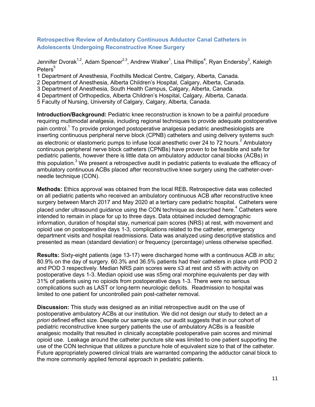#### <span id="page-10-0"></span>**Retrospective Review of Ambulatory Continuous Adductor Canal Catheters in Adolescents Undergoing Reconstructive Knee Surgery**

Jennifer Dvorak<sup>1,2</sup>, Adam Spencer<sup>2,3</sup>, Andrew Walker<sup>1</sup>, Lisa Phillips<sup>4</sup>, Ryan Endersby<sup>3</sup>, Kaleigh Peters<sup>5</sup>

1 Department of Anesthesia, Foothills Medical Centre, Calgary, Alberta, Canada.

- 2 Department of Anesthesia, Alberta Children's Hospital, Calgary, Alberta, Canada.
- 3 Department of Anesthesia, South Health Campus, Calgary, Alberta, Canada.
- 4 Department of Orthopedics, Alberta Children's Hospital, Calgary, Alberta, Canada.
- 5 Faculty of Nursing, University of Calgary, Calgary, Alberta, Canada.

**Introduction/Background:** Pediatric knee reconstruction is known to be a painful procedure requiring multimodal analgesia, including regional techniques to provide adequate postoperative pain control.<sup>1</sup> To provide prolonged postoperative analgesia pediatric anesthesiologists are inserting continuous peripheral nerve block (CPNB) catheters and using delivery systems such as electronic or elastomeric pumps to infuse local anesthetic over 24 to 72 hours. $^{2}$  Ambulatory continuous peripheral nerve block catheters (CPNBs) have proven to be feasible and safe for pediatric patients, however there is little data on ambulatory adductor canal blocks (ACBs) in this population. $3$  We present a retrospective audit in pediatric patients to evaluate the efficacy of ambulatory continuous ACBs placed after reconstructive knee surgery using the catheter-overneedle technique (CON).

**Methods:** Ethics approval was obtained from the local REB**.** Retrospective data was collected on all pediatric patients who received an ambulatory continuous ACB after reconstructive knee surgery between March 2017 and May 2020 at a tertiary care pediatric hospital. Catheters were placed under ultrasound guidance using the CON technique as described here.<sup>4</sup> Catheters were intended to remain in place for up to three days. Data obtained included demographic information, duration of hospital stay, numerical pain scores (NRS) at rest, with movement and opioid use on postoperative days 1-3, complications related to the catheter, emergency department visits and hospital readmissions. Data was analyzed using descriptive statistics and presented as mean (standard deviation) or frequency (percentage) unless otherwise specified.

**Results:** Sixty-eight patients (age 13-17) were discharged home with a continuous ACB *in situ*; 80.9% on the day of surgery. 60.3% and 36.5% patients had their catheters in place until POD 2 and POD 3 respectively. Median NRS pain scores were ≤3 at rest and ≤5 with activity on postoperative days 1-3. Median opioid use was ≤5mg oral morphine equivalents per day with 31% of patients using no opioids from postoperative days 1-3. There were no serious complications such as LAST or long-term neurologic deficits. Readmission to hospital was limited to one patient for uncontrolled pain post-catheter removal.

**Discussion:** This study was designed as an initial retrospective audit on the use of postoperative ambulatory ACBs at our institution. We did not design our study to detect an *a priori* defined effect size. Despite our sample size, our audit suggests that in our cohort of pediatric reconstructive knee surgery patients the use of ambulatory ACBs is a feasible analgesic modality that resulted in clinically acceptable postoperative pain scores and minimal opioid use. Leakage around the catheter puncture site was limited to one patient supporting the use of the CON technique that utilizes a puncture hole of equivalent size to that of the catheter. Future appropriately powered clinical trials are warranted comparing the adductor canal block to the more commonly applied femoral approach in pediatric patients.